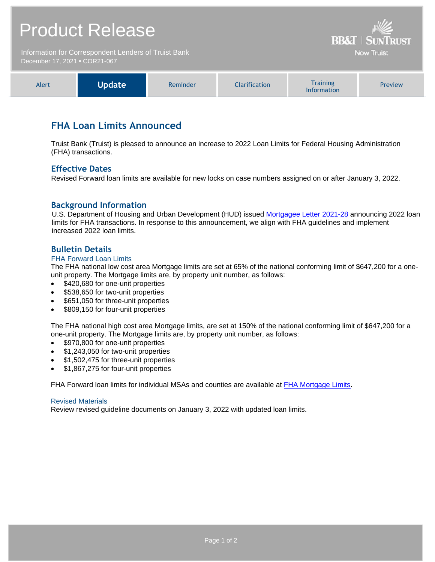# Product Release

Information for Correspondent Lenders of Truist Bank December 17, 2021 **•** COR21-067

| Training<br>Vpdate<br><b>Alert</b><br>Iarification.<br><b>Preview</b><br>Reminder<br><b>Information</b> |
|---------------------------------------------------------------------------------------------------------|
|---------------------------------------------------------------------------------------------------------|

**BB&T | SUNTRUST** Now Truist

## **FHA Loan Limits Announced**

Truist Bank (Truist) is pleased to announce an increase to 2022 Loan Limits for Federal Housing Administration (FHA) transactions.

## **Effective Dates**

Revised Forward loan limits are available for new locks on case numbers assigned on or after January 3, 2022.

## **Background Information**

U.S. Department of Housing and Urban Development (HUD) issued [Mortgagee Letter 2021-28](https://www.hud.gov/sites/dfiles/OCHCO/documents/2021-28mlhsg.pdf?utm_medium=email&utm_source=govdelivery) announcing 2022 loan limits for FHA transactions. In response to this announcement, we align with FHA guidelines and implement increased 2022 loan limits.

## **Bulletin Details**

#### FHA Forward Loan Limits

The FHA national low cost area Mortgage limits are set at 65% of the national conforming limit of \$647,200 for a oneunit property. The Mortgage limits are, by property unit number, as follows:

- \$420,680 for one-unit properties
- \$538,650 for two-unit properties
- \$651,050 for three-unit properties
- \$809,150 for four-unit properties

The FHA national high cost area Mortgage limits, are set at 150% of the national conforming limit of \$647,200 for a one-unit property. The Mortgage limits are, by property unit number, as follows:

- \$970,800 for one-unit properties
- \$1,243,050 for two-unit properties
- \$1,502,475 for three-unit properties
- \$1,867,275 for four-unit properties

FHA Forward loan limits for individual MSAs and counties are available at [FHA Mortgage Limits.](https://entp.hud.gov/idapp/html/hicostlook.cfm)

#### Revised Materials

Review revised guideline documents on January 3, 2022 with updated loan limits.